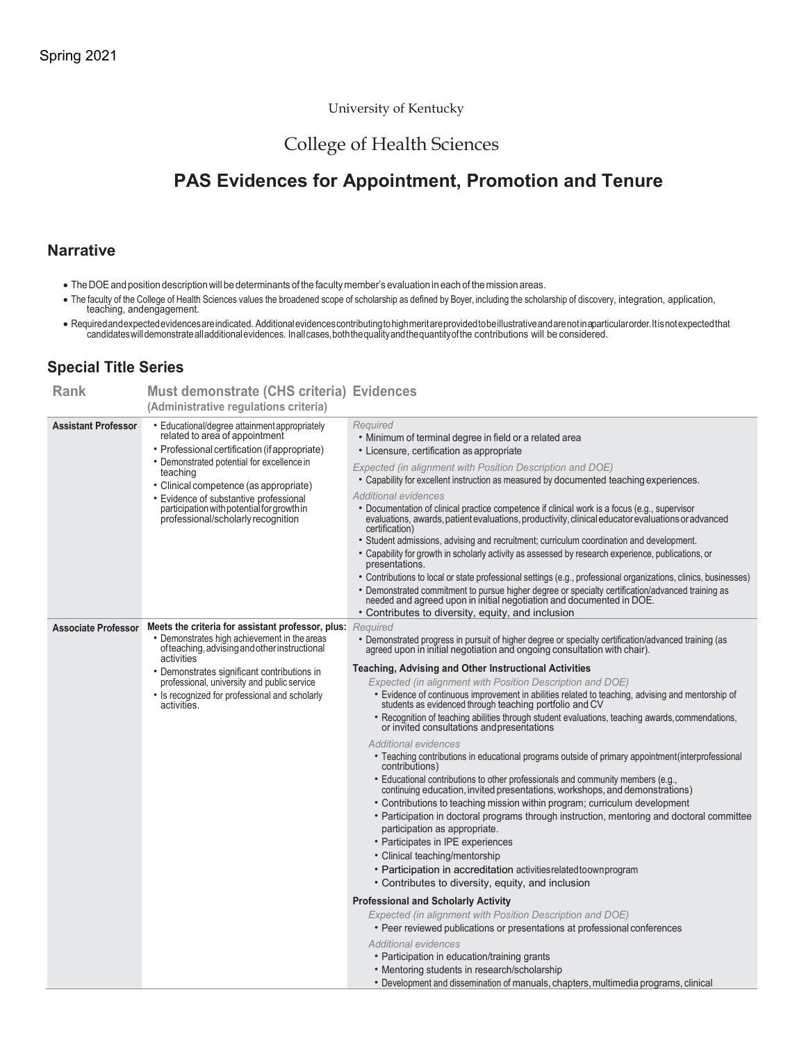#### University of Kentucky

## College of Health Sciences

# **PAS Evidences for Appointment, Promotion and Tenure**

#### **Narrative**

- TheDOEand position descriptionwill be determinants of the facultymember's evaluation in each of the mission areas.
- The faculty of the College of Health Sciences values the broadened scope of scholarship as defined by Boyer, including the scholarship of discovery, integration, application, teaching, andengagement.

● Requiredandexpectedevidencesare indicated. Additional evidences contributingto high meritare providedto be illustrative and are not in aparticular order. It is not expected that<br>candidates will demonstrate all additiona

#### **Special Title Series**

| <b>Rank</b>                | <b>Must demonstrate (CHS criteria) Evidences</b><br>(Administrative regulations criteria)                                                                                                                                                                                                                                                                          |                                                                                                                                                                                                                                                                                                                                                                                                                                                                                                                                                                                                                                                                                                                                                                                                                                                                                                                                                                                                                                                                                                                                                                                                                                                                                                                                                                                                                                                                                                                                                                                                                                                                                                                                                                                       |
|----------------------------|--------------------------------------------------------------------------------------------------------------------------------------------------------------------------------------------------------------------------------------------------------------------------------------------------------------------------------------------------------------------|---------------------------------------------------------------------------------------------------------------------------------------------------------------------------------------------------------------------------------------------------------------------------------------------------------------------------------------------------------------------------------------------------------------------------------------------------------------------------------------------------------------------------------------------------------------------------------------------------------------------------------------------------------------------------------------------------------------------------------------------------------------------------------------------------------------------------------------------------------------------------------------------------------------------------------------------------------------------------------------------------------------------------------------------------------------------------------------------------------------------------------------------------------------------------------------------------------------------------------------------------------------------------------------------------------------------------------------------------------------------------------------------------------------------------------------------------------------------------------------------------------------------------------------------------------------------------------------------------------------------------------------------------------------------------------------------------------------------------------------------------------------------------------------|
| <b>Assistant Professor</b> | • Educational/degree attainment appropriately<br>related to area of appointment<br>• Professional certification (if appropriate)<br>• Demonstrated potential for excellence in<br>teaching<br>· Clinical competence (as appropriate)<br>• Evidence of substantive professional<br>participation with potential for growth in<br>professional/scholarly recognition | Required<br>• Minimum of terminal degree in field or a related area<br>• Licensure, certification as appropriate<br>Expected (in alignment with Position Description and DOE)<br>. Capability for excellent instruction as measured by documented teaching experiences.<br>Additional evidences<br>· Documentation of clinical practice competence if clinical work is a focus (e.g., supervisor<br>evaluations, awards, patient evaluations, productivity, clinical educator evaluations or advanced<br>certification)<br>• Student admissions, advising and recruitment; curriculum coordination and development.<br>• Capability for growth in scholarly activity as assessed by research experience, publications, or<br>presentations.<br>· Contributions to local or state professional settings (e.g., professional organizations, clinics, businesses)<br>• Demonstrated commitment to pursue higher degree or specialty certification/advanced training as<br>needed and agreed upon in initial negotiation and documented in DOE.<br>• Contributes to diversity, equity, and inclusion                                                                                                                                                                                                                                                                                                                                                                                                                                                                                                                                                                                                                                                                                      |
| <b>Associate Professor</b> | <b>Meets the criteria for assistant professor, plus:</b> Required<br>Demonstrates high achievement in the areas<br>of teaching, advising and other instructional<br>activities<br>• Demonstrates significant contributions in<br>professional, university and public service<br>• Is recognized for professional and scholarly<br>activities.                      | • Demonstrated progress in pursuit of higher degree or specialty certification/advanced training (as<br>agreed upon in initial negotiation and ongoing consultation with chair).<br><b>Teaching, Advising and Other Instructional Activities</b><br>Expected (in alignment with Position Description and DOE)<br>• Evidence of continuous improvement in abilities related to teaching, advising and mentorship of<br>students as evidenced through teaching portfolio and CV<br>• Recognition of teaching abilities through student evaluations, teaching awards, commendations,<br>or invited consultations and presentations<br><b>Additional evidences</b><br>• Teaching contributions in educational programs outside of primary appointment (interprofessional<br>contributions)<br>• Educational contributions to other professionals and community members (e.g.,<br>continuing education, invited presentations, workshops, and demonstrations)<br>• Contributions to teaching mission within program; curriculum development<br>• Participation in doctoral programs through instruction, mentoring and doctoral committee<br>participation as appropriate.<br>• Participates in IPE experiences<br>• Clinical teaching/mentorship<br>• Participation in accreditation activities related to own program<br>• Contributes to diversity, equity, and inclusion<br><b>Professional and Scholarly Activity</b><br>Expected (in alignment with Position Description and DOE)<br>• Peer reviewed publications or presentations at professional conferences<br><b>Additional evidences</b><br>• Participation in education/training grants<br>• Mentoring students in research/scholarship<br>• Development and dissemination of manuals, chapters, multimedia programs, clinical |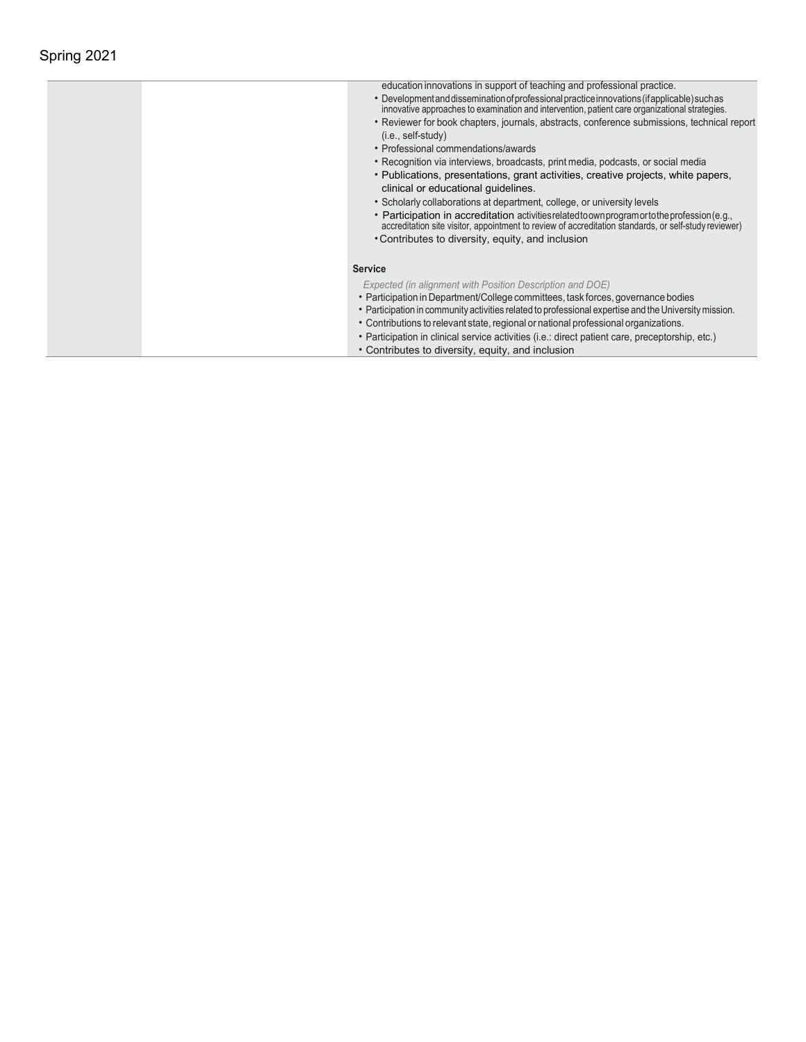| education innovations in support of teaching and professional practice.                                                                                                                                                                                |
|--------------------------------------------------------------------------------------------------------------------------------------------------------------------------------------------------------------------------------------------------------|
| • Development and dissemination of professional practice innovations (if applicable) such as<br>innovative approaches to examination and intervention, patient care organizational strategies.                                                         |
| • Reviewer for book chapters, journals, abstracts, conference submissions, technical report<br>$(i.e., self-study)$                                                                                                                                    |
| • Professional commendations/awards                                                                                                                                                                                                                    |
| • Recognition via interviews, broadcasts, print media, podcasts, or social media                                                                                                                                                                       |
| • Publications, presentations, grant activities, creative projects, white papers,<br>clinical or educational quidelines.                                                                                                                               |
| • Scholarly collaborations at department, college, or university levels                                                                                                                                                                                |
| • Participation in accreditation activities related toown program or to the profession (e.g.,<br>accreditation site visitor, appointment to review of accreditation standards, or self-study reviewer)                                                 |
| • Contributes to diversity, equity, and inclusion                                                                                                                                                                                                      |
|                                                                                                                                                                                                                                                        |
| <b>Service</b>                                                                                                                                                                                                                                         |
| Expected (in alignment with Position Description and DOE)<br>• Participation in Department/College committees, task forces, governance bodies<br>• Participation in community activities related to professional expertise and the University mission. |
| • Contributions to relevant state, regional or national professional organizations.                                                                                                                                                                    |
| • Participation in clinical service activities (i.e.: direct patient care, preceptorship, etc.)                                                                                                                                                        |
| • Contributes to diversity, equity, and inclusion                                                                                                                                                                                                      |
|                                                                                                                                                                                                                                                        |